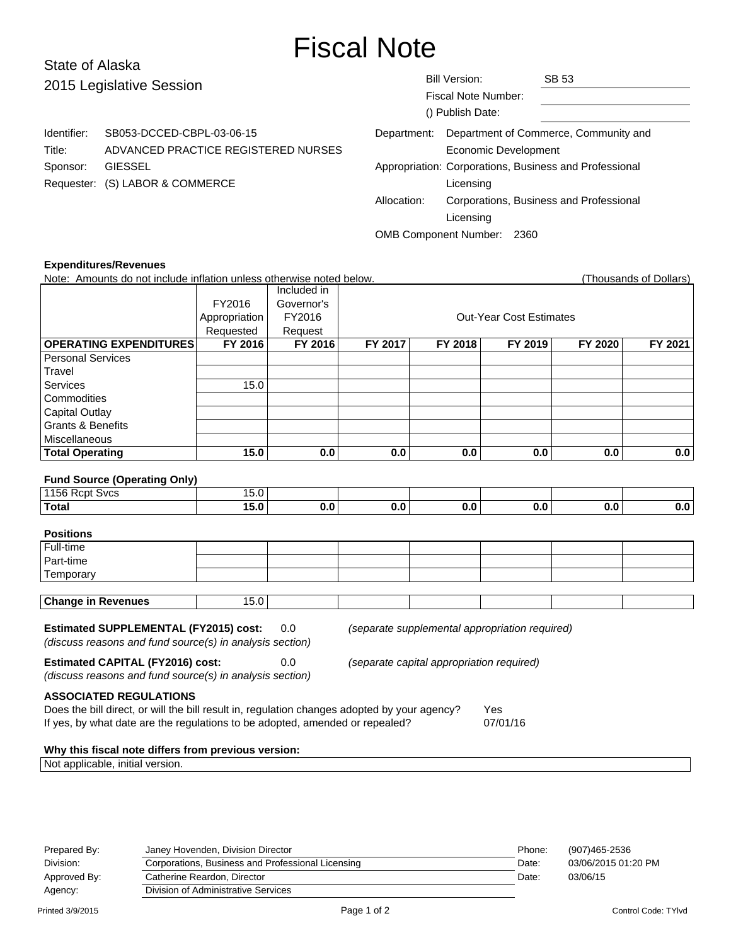# Fiscal Note

# State of Alaska 2015 Legislative Session

Identifier: SB053-DCCED-CBPL-03-06-15

Requester: (S) LABOR & COMMERCE

Title: ADVANCED PRACTICE REGISTERED NURSES

| <b>Bill Version:</b>                                   | SB 53                                   |  |  |  |  |
|--------------------------------------------------------|-----------------------------------------|--|--|--|--|
| Fiscal Note Number:                                    |                                         |  |  |  |  |
| () Publish Date:                                       |                                         |  |  |  |  |
| Department:                                            | Department of Commerce, Community and   |  |  |  |  |
| Economic Development                                   |                                         |  |  |  |  |
| Appropriation: Corporations, Business and Professional |                                         |  |  |  |  |
| Licensing                                              |                                         |  |  |  |  |
| Allocation:                                            | Corporations, Business and Professional |  |  |  |  |
| Licensing                                              |                                         |  |  |  |  |
| <b>OMB Component Number:</b><br>2360                   |                                         |  |  |  |  |

### **Expenditures/Revenues**

Sponsor: GIESSEL

| Note: Amounts do not include inflation unless otherwise noted below.                                                                                                                     |                |             |                                |                                           |                                                |         | (Thousands of Dollars) |  |
|------------------------------------------------------------------------------------------------------------------------------------------------------------------------------------------|----------------|-------------|--------------------------------|-------------------------------------------|------------------------------------------------|---------|------------------------|--|
|                                                                                                                                                                                          |                | Included in |                                |                                           |                                                |         |                        |  |
|                                                                                                                                                                                          | FY2016         | Governor's  |                                |                                           |                                                |         |                        |  |
|                                                                                                                                                                                          | Appropriation  | FY2016      | <b>Out-Year Cost Estimates</b> |                                           |                                                |         |                        |  |
|                                                                                                                                                                                          | Requested      | Request     |                                |                                           |                                                |         |                        |  |
| <b>OPERATING EXPENDITURES</b>                                                                                                                                                            | <b>FY 2016</b> | FY 2016     | FY 2017                        | FY 2018                                   | FY 2019                                        | FY 2020 | FY 2021                |  |
| <b>Personal Services</b>                                                                                                                                                                 |                |             |                                |                                           |                                                |         |                        |  |
| Travel                                                                                                                                                                                   |                |             |                                |                                           |                                                |         |                        |  |
| Services                                                                                                                                                                                 | 15.0           |             |                                |                                           |                                                |         |                        |  |
| Commodities                                                                                                                                                                              |                |             |                                |                                           |                                                |         |                        |  |
| <b>Capital Outlay</b>                                                                                                                                                                    |                |             |                                |                                           |                                                |         |                        |  |
| <b>Grants &amp; Benefits</b>                                                                                                                                                             |                |             |                                |                                           |                                                |         |                        |  |
| Miscellaneous                                                                                                                                                                            |                |             |                                |                                           |                                                |         |                        |  |
| <b>Total Operating</b>                                                                                                                                                                   | 15.0           | 0.0         | 0.0                            | 0.0                                       | 0.0                                            | 0.0     | 0.0                    |  |
|                                                                                                                                                                                          |                |             |                                |                                           |                                                |         |                        |  |
| <b>Fund Source (Operating Only)</b>                                                                                                                                                      |                |             |                                |                                           |                                                |         |                        |  |
| 1156 Rcpt Svcs                                                                                                                                                                           | 15.0           |             |                                |                                           |                                                |         |                        |  |
| <b>Total</b>                                                                                                                                                                             | 15.0           | 0.0         | 0.0                            | 0.0                                       | 0.0                                            | 0.0     | 0.0                    |  |
|                                                                                                                                                                                          |                |             |                                |                                           |                                                |         |                        |  |
| <b>Positions</b>                                                                                                                                                                         |                |             |                                |                                           |                                                |         |                        |  |
| Full-time                                                                                                                                                                                |                |             |                                |                                           |                                                |         |                        |  |
| Part-time                                                                                                                                                                                |                |             |                                |                                           |                                                |         |                        |  |
| Temporary                                                                                                                                                                                |                |             |                                |                                           |                                                |         |                        |  |
| <b>Change in Revenues</b>                                                                                                                                                                | 15.0           |             |                                |                                           |                                                |         |                        |  |
|                                                                                                                                                                                          |                |             |                                |                                           |                                                |         |                        |  |
| <b>Estimated SUPPLEMENTAL (FY2015) cost:</b>                                                                                                                                             |                | 0.0         |                                |                                           | (separate supplemental appropriation required) |         |                        |  |
| (discuss reasons and fund source(s) in analysis section)                                                                                                                                 |                |             |                                |                                           |                                                |         |                        |  |
|                                                                                                                                                                                          |                |             |                                |                                           |                                                |         |                        |  |
| <b>Estimated CAPITAL (FY2016) cost:</b>                                                                                                                                                  |                | 0.0         |                                | (separate capital appropriation required) |                                                |         |                        |  |
| (discuss reasons and fund source(s) in analysis section)                                                                                                                                 |                |             |                                |                                           |                                                |         |                        |  |
| <b>ASSOCIATED REGULATIONS</b>                                                                                                                                                            |                |             |                                |                                           |                                                |         |                        |  |
|                                                                                                                                                                                          |                |             |                                |                                           | Yes                                            |         |                        |  |
| Does the bill direct, or will the bill result in, regulation changes adopted by your agency?<br>If yes, by what date are the regulations to be adopted, amended or repealed?<br>07/01/16 |                |             |                                |                                           |                                                |         |                        |  |
|                                                                                                                                                                                          |                |             |                                |                                           |                                                |         |                        |  |
| Why this fiscal note differs from previous version:                                                                                                                                      |                |             |                                |                                           |                                                |         |                        |  |
| Not applicable, initial version.                                                                                                                                                         |                |             |                                |                                           |                                                |         |                        |  |
|                                                                                                                                                                                          |                |             |                                |                                           |                                                |         |                        |  |

| Prepared By: | Janey Hovenden, Division Director                 | Phone: | (907)465-2536       |
|--------------|---------------------------------------------------|--------|---------------------|
| Division:    | Corporations, Business and Professional Licensing | Date:  | 03/06/2015 01:20 PM |
| Approved By: | Catherine Reardon, Director                       | Date:  | 03/06/15            |
| Agency:      | Division of Administrative Services               |        |                     |